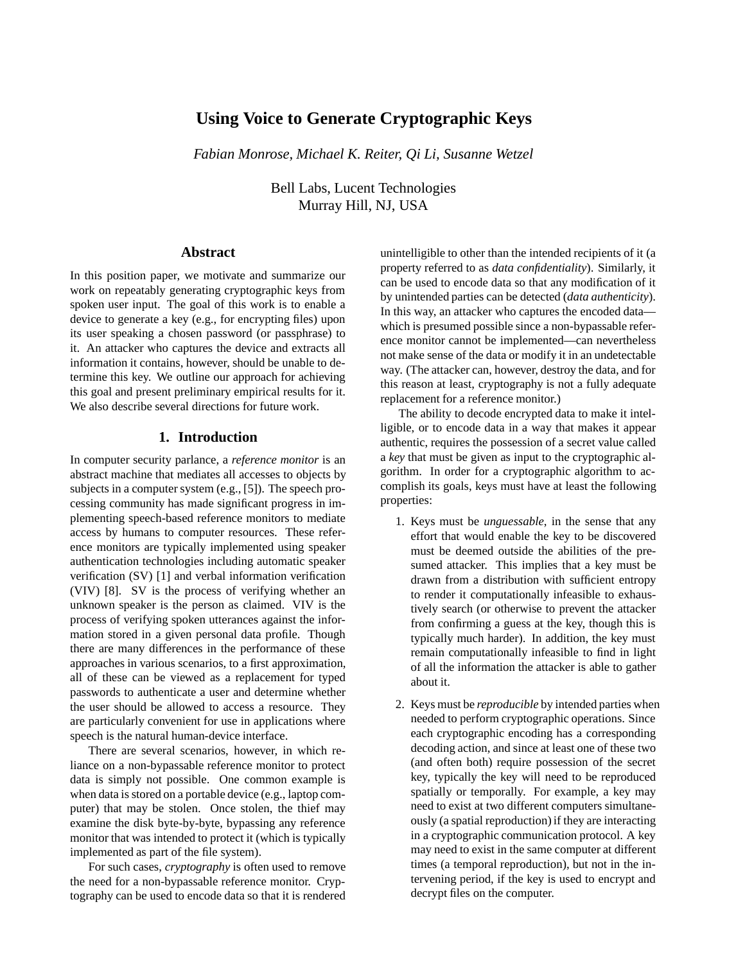# **Using Voice to Generate Cryptographic Keys**

*Fabian Monrose, Michael K. Reiter, Qi Li, Susanne Wetzel*

Bell Labs, Lucent Technologies Murray Hill, NJ, USA

# **Abstract**

In this position paper, we motivate and summarize our work on repeatably generating cryptographic keys from spoken user input. The goal of this work is to enable a device to generate a key (e.g., for encrypting files) upon its user speaking a chosen password (or passphrase) to it. An attacker who captures the device and extracts all information it contains, however, should be unable to determine this key. We outline our approach for achieving this goal and present preliminary empirical results for it. We also describe several directions for future work.

# **1. Introduction**

In computer security parlance, a *reference monitor* is an abstract machine that mediates all accesses to objects by subjects in a computer system (e.g., [5]). The speech processing community has made significant progress in implementing speech-based reference monitors to mediate access by humans to computer resources. These reference monitors are typically implemented using speaker authentication technologies including automatic speaker verification (SV) [1] and verbal information verification (VIV) [8]. SV is the process of verifying whether an unknown speaker is the person as claimed. VIV is the process of verifying spoken utterances against the information stored in a given personal data profile. Though there are many differences in the performance of these approaches in various scenarios, to a first approximation, all of these can be viewed as a replacement for typed passwords to authenticate a user and determine whether the user should be allowed to access a resource. They are particularly convenient for use in applications where speech is the natural human-device interface.

There are several scenarios, however, in which reliance on a non-bypassable reference monitor to protect data is simply not possible. One common example is when data is stored on a portable device (e.g., laptop computer) that may be stolen. Once stolen, the thief may examine the disk byte-by-byte, bypassing any reference monitor that was intended to protect it (which is typically implemented as part of the file system).

For such cases, *cryptography* is often used to remove the need for a non-bypassable reference monitor. Cryptography can be used to encode data so that it is rendered unintelligible to other than the intended recipients of it (a property referred to as *data confidentiality*). Similarly, it can be used to encode data so that any modification of it by unintended parties can be detected (*data authenticity*). In this way, an attacker who captures the encoded data which is presumed possible since a non-bypassable reference monitor cannot be implemented—can nevertheless not make sense of the data or modify it in an undetectable way. (The attacker can, however, destroy the data, and for this reason at least, cryptography is not a fully adequate replacement for a reference monitor.)

The ability to decode encrypted data to make it intelligible, or to encode data in a way that makes it appear authentic, requires the possession of a secret value called a *key* that must be given as input to the cryptographic algorithm. In order for a cryptographic algorithm to accomplish its goals, keys must have at least the following properties:

- 1. Keys must be *unguessable*, in the sense that any effort that would enable the key to be discovered must be deemed outside the abilities of the presumed attacker. This implies that a key must be drawn from a distribution with sufficient entropy to render it computationally infeasible to exhaustively search (or otherwise to prevent the attacker from confirming a guess at the key, though this is typically much harder). In addition, the key must remain computationally infeasible to find in light of all the information the attacker is able to gather about it.
- 2. Keys must be *reproducible* by intended parties when needed to perform cryptographic operations. Since each cryptographic encoding has a corresponding decoding action, and since at least one of these two (and often both) require possession of the secret key, typically the key will need to be reproduced spatially or temporally. For example, a key may need to exist at two different computers simultaneously (a spatial reproduction) if they are interacting in a cryptographic communication protocol. A key may need to exist in the same computer at different times (a temporal reproduction), but not in the intervening period, if the key is used to encrypt and decrypt files on the computer.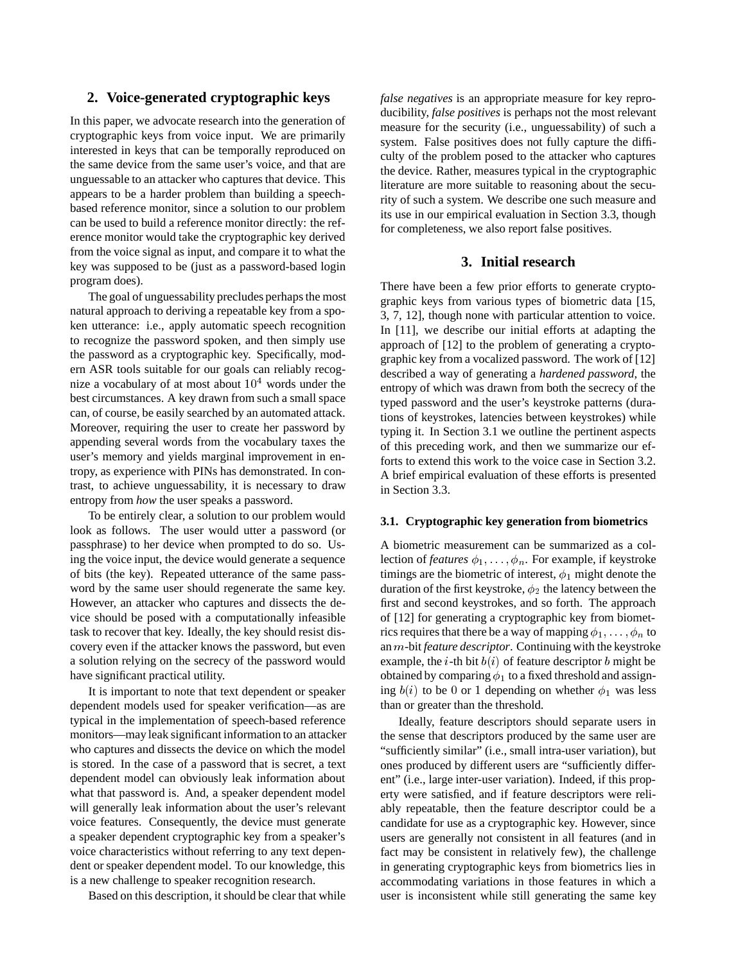# **2. Voice-generated cryptographic keys**

In this paper, we advocate research into the generation of cryptographic keys from voice input. We are primarily interested in keys that can be temporally reproduced on the same device from the same user's voice, and that are unguessable to an attacker who captures that device. This appears to be a harder problem than building a speechbased reference monitor, since a solution to our problem can be used to build a reference monitor directly: the reference monitor would take the cryptographic key derived from the voice signal as input, and compare it to what the key was supposed to be (just as a password-based login program does).

The goal of unguessability precludes perhaps the most natural approach to deriving a repeatable key from a spoken utterance: i.e., apply automatic speech recognition to recognize the password spoken, and then simply use the password as a cryptographic key. Specifically, modern ASR tools suitable for our goals can reliably recognize a vocabulary of at most about  $10<sup>4</sup>$  words under the best circumstances. A key drawn from such a small space can, of course, be easily searched by an automated attack. Moreover, requiring the user to create her password by appending several words from the vocabulary taxes the user's memory and yields marginal improvement in entropy, as experience with PINs has demonstrated. In contrast, to achieve unguessability, it is necessary to draw entropy from *how* the user speaks a password.

To be entirely clear, a solution to our problem would look as follows. The user would utter a password (or passphrase) to her device when prompted to do so. Using the voice input, the device would generate a sequence of bits (the key). Repeated utterance of the same password by the same user should regenerate the same key. However, an attacker who captures and dissects the device should be posed with a computationally infeasible task to recover that key. Ideally, the key should resist discovery even if the attacker knows the password, but even a solution relying on the secrecy of the password would have significant practical utility.

It is important to note that text dependent or speaker dependent models used for speaker verification—as are typical in the implementation of speech-based reference monitors—may leak significant information to an attacker who captures and dissects the device on which the model is stored. In the case of a password that is secret, a text dependent model can obviously leak information about what that password is. And, a speaker dependent model will generally leak information about the user's relevant voice features. Consequently, the device must generate a speaker dependent cryptographic key from a speaker's voice characteristics without referring to any text dependent or speaker dependent model. To our knowledge, this is a new challenge to speaker recognition research.

Based on this description, it should be clear that while

*false negatives* is an appropriate measure for key reproducibility, *false positives* is perhaps not the most relevant measure for the security (i.e., unguessability) of such a system. False positives does not fully capture the difficulty of the problem posed to the attacker who captures the device. Rather, measures typical in the cryptographic literature are more suitable to reasoning about the security of such a system. We describe one such measure and its use in our empirical evaluation in Section 3.3, though for completeness, we also report false positives.

# **3. Initial research**

There have been a few prior efforts to generate cryptographic keys from various types of biometric data [15, 3, 7, 12], though none with particular attention to voice. In [11], we describe our initial efforts at adapting the approach of [12] to the problem of generating a cryptographic key from a vocalized password. The work of [12] described a way of generating a *hardened password*, the entropy of which was drawn from both the secrecy of the typed password and the user's keystroke patterns (durations of keystrokes, latencies between keystrokes) while typing it. In Section 3.1 we outline the pertinent aspects of this preceding work, and then we summarize our efforts to extend this work to the voice case in Section 3.2. A brief empirical evaluation of these efforts is presented in Section 3.3.

#### **3.1. Cryptographic key generation from biometrics**

A biometric measurement can be summarized as a collection of *features*  $\phi_1, \ldots, \phi_n$ . For example, if keystroke timings are the biometric of interest,  $\phi_1$  might denote the duration of the first keystroke,  $\phi_2$  the latency between the first and second keystrokes, and so forth. The approach of [12] for generating a cryptographic key from biometrics requires that there be a way of mapping  $\phi_1,\ldots,\phi_n$  to an m-bit *feature descriptor*. Continuing with the keystroke example, the *i*-th bit  $b(i)$  of feature descriptor b might be obtained by comparing  $\phi_1$  to a fixed threshold and assigning  $b(i)$  to be 0 or 1 depending on whether  $\phi_1$  was less than or greater than the threshold.

Ideally, feature descriptors should separate users in the sense that descriptors produced by the same user are "sufficiently similar" (i.e., small intra-user variation), but ones produced by different users are "sufficiently different" (i.e., large inter-user variation). Indeed, if this property were satisfied, and if feature descriptors were reliably repeatable, then the feature descriptor could be a candidate for use as a cryptographic key. However, since users are generally not consistent in all features (and in fact may be consistent in relatively few), the challenge in generating cryptographic keys from biometrics lies in accommodating variations in those features in which a user is inconsistent while still generating the same key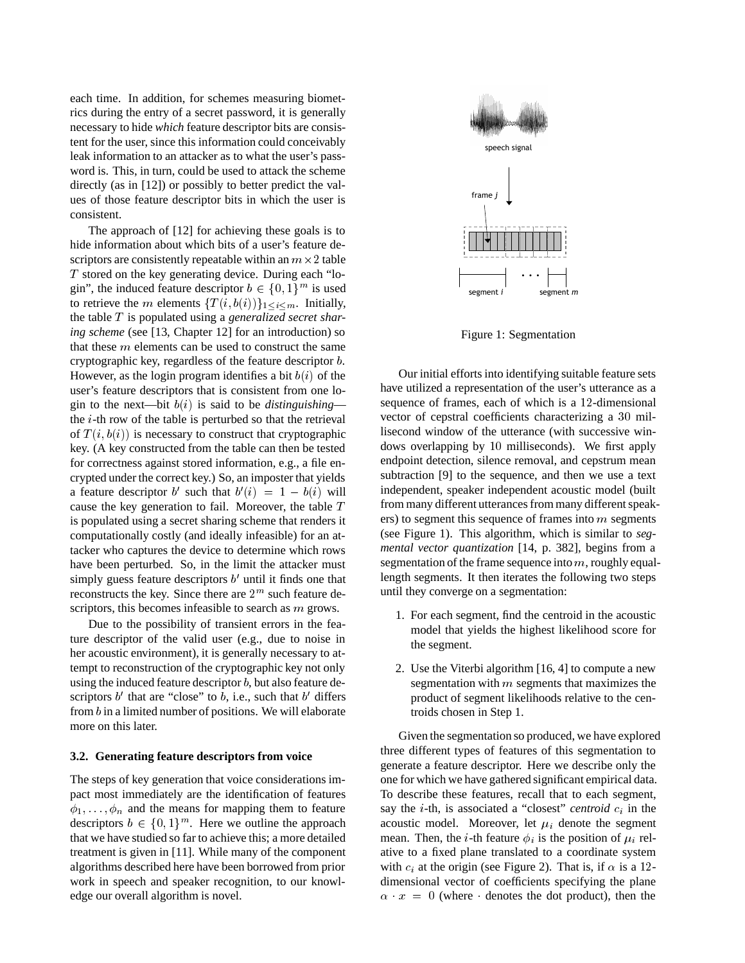each time. In addition, for schemes measuring biometrics during the entry of a secret password, it is generally necessary to hide *which* feature descriptor bits are consistent for the user, since this information could conceivably leak information to an attacker as to what the user's password is. This, in turn, could be used to attack the scheme directly (as in [12]) or possibly to better predict the values of those feature descriptor bits in which the user is consistent.

The approach of [12] for achieving these goals is to hide information about which bits of a user's feature descriptors are consistently repeatable within an  $m \times 2$  table T stored on the key generating device. During each "login", the induced feature descriptor  $b \in \{0, 1\}^m$  is used to retrieve the m elements  $\{T(i, b(i))\}_{1 \leq i \leq m}$ . Initially, the table T is populated using a *generalized secret sharing scheme* (see [13, Chapter 12] for an introduction) so that these  $m$  elements can be used to construct the same cryptographic key, regardless of the feature descriptor b. However, as the login program identifies a bit  $b(i)$  of the user's feature descriptors that is consistent from one login to the next—bit  $b(i)$  is said to be *distinguishing* the i-th row of the table is perturbed so that the retrieval of  $T(i, b(i))$  is necessary to construct that cryptographic key. (A key constructed from the table can then be tested for correctness against stored information, e.g., a file encrypted under the correct key.) So, an imposter that yields a feature descriptor b' such that  $b'(i) = 1 - b(i)$  will cause the key generation to fail. Moreover, the table T is populated using a secret sharing scheme that renders it computationally costly (and ideally infeasible) for an attacker who captures the device to determine which rows have been perturbed. So, in the limit the attacker must simply guess feature descriptors  $b'$  until it finds one that reconstructs the key. Since there are  $2<sup>m</sup>$  such feature descriptors, this becomes infeasible to search as m grows.

Due to the possibility of transient errors in the feature descriptor of the valid user (e.g., due to noise in her acoustic environment), it is generally necessary to attempt to reconstruction of the cryptographic key not only using the induced feature descriptor  $b$ , but also feature descriptors  $b'$  that are "close" to b, i.e., such that  $b'$  differs from <sup>b</sup> in a limited number of positions. We will elaborate more on this later.

#### **3.2. Generating feature descriptors from voice**

The steps of key generation that voice considerations impact most immediately are the identification of features  $\phi_1,\ldots,\phi_n$  and the means for mapping them to feature descriptors  $b \in \{0, 1\}^m$ . Here we outline the approach that we have studied so far to achieve this; a more detailed treatment is given in [11]. While many of the component algorithms described here have been borrowed from prior work in speech and speaker recognition, to our knowledge our overall algorithm is novel.



Figure 1: Segmentation

Our initial efforts into identifying suitable feature sets have utilized a representation of the user's utterance as a sequence of frames, each of which is a <sup>12</sup>-dimensional vector of cepstral coefficients characterizing a <sup>30</sup> millisecond window of the utterance (with successive windows overlapping by <sup>10</sup> milliseconds). We first apply endpoint detection, silence removal, and cepstrum mean subtraction [9] to the sequence, and then we use a text independent, speaker independent acoustic model (built from many different utterances from many different speakers) to segment this sequence of frames into  $m$  segments (see Figure 1). This algorithm, which is similar to *segmental vector quantization* [14, p. 382], begins from a segmentation of the frame sequence into  $m$ , roughly equallength segments. It then iterates the following two steps until they converge on a segmentation:

- 1. For each segment, find the centroid in the acoustic model that yields the highest likelihood score for the segment.
- 2. Use the Viterbi algorithm [16, 4] to compute a new segmentation with  $m$  segments that maximizes the product of segment likelihoods relative to the centroids chosen in Step 1.

Given the segmentation so produced, we have explored three different types of features of this segmentation to generate a feature descriptor. Here we describe only the one for which we have gathered significant empirical data. To describe these features, recall that to each segment, say the *i*-th, is associated a "closest" *centroid*  $c_i$  in the acoustic model. Moreover, let  $\mu_i$  denote the segment mean. Then, the *i*-th feature  $\phi_i$  is the position of  $\mu_i$  relative to a fixed plane translated to a coordinate system with  $c_i$  at the origin (see Figure 2). That is, if  $\alpha$  is a 12dimensional vector of coefficients specifying the plane  $\alpha$   $x = 0$  (where denotes the dot product), then the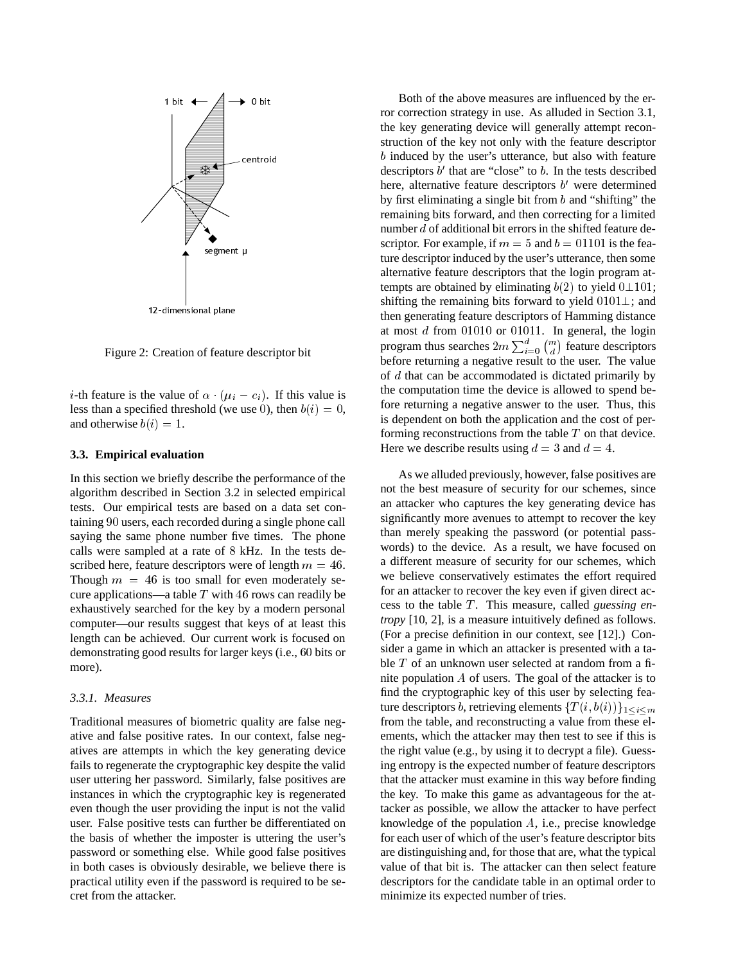

12-dimensional plane<br>Figure 2: Creation of feature descriptor bit

*i*-th feature is the value of  $\alpha$  ( $\mu_i - c_i$ ). If this value is less than a specified threshold (we use 0), then  $b(i)=0$ , and otherwise  $b(i)=1$ .

#### **3.3. Empirical evaluation**

In this section we briefly describe the performance of the algorithm described in Section 3.2 in selected empirical tests. Our empirical tests are based on a data set containing <sup>90</sup> users, each recorded during a single phone call saying the same phone number five times. The phone calls were sampled at a rate of <sup>8</sup> kHz. In the tests described here, feature descriptors were of length  $m = 46$ . Though  $m = 46$  is too small for even moderately secure applications—a table  $T$  with 46 rows can readily be exhaustively searched for the key by a modern personal computer—our results suggest that keys of at least this length can be achieved. Our current work is focused on demonstrating good results for larger keys (i.e., <sup>60</sup> bits or more).

#### *3.3.1. Measures*

Traditional measures of biometric quality are false negative and false positive rates. In our context, false negatives are attempts in which the key generating device fails to regenerate the cryptographic key despite the valid user uttering her password. Similarly, false positives are instances in which the cryptographic key is regenerated even though the user providing the input is not the valid user. False positive tests can further be differentiated on the basis of whether the imposter is uttering the user's password or something else. While good false positives in both cases is obviously desirable, we believe there is practical utility even if the password is required to be secret from the attacker.

Both of the above measures are influenced by the error correction strategy in use. As alluded in Section 3.1, the key generating device will generally attempt reconstruction of the key not only with the feature descriptor b induced by the user's utterance, but also with feature descriptors  $b'$  that are "close" to  $b$ . In the tests described here, alternative feature descriptors  $b'$  were determined by first eliminating a single bit from  $b$  and "shifting" the remaining bits forward, and then correcting for a limited number <sup>d</sup> of additional bit errors in the shifted feature descriptor. For example, if  $m = 5$  and  $b = 01101$  is the feature descriptor induced by the user's utterance, then some alternative feature descriptors that the login program attempts are obtained by eliminating  $b(2)$  to yield  $0 \perp 101$ ; shifting the remaining bits forward to yield  $0101 \perp$ ; and then generating feature descriptors of Hamming distance at most d from <sup>01010</sup> or <sup>01011</sup>. In general, the login program thus searches  $2m\sum_{i=0}^{a} \binom{m}{d}$  feature descriptors before returning a negative result to the user. The value of d that can be accommodated is dictated primarily by the computation time the device is allowed to spend before returning a negative answer to the user. Thus, this is dependent on both the application and the cost of performing reconstructions from the table  $T$  on that device. Here we describe results using  $d = 3$  and  $d = 4$ .

As we alluded previously, however, false positives are not the best measure of security for our schemes, since an attacker who captures the key generating device has significantly more avenues to attempt to recover the key than merely speaking the password (or potential passwords) to the device. As a result, we have focused on a different measure of security for our schemes, which we believe conservatively estimates the effort required for an attacker to recover the key even if given direct access to the table T . This measure, called *guessing entropy* [10, 2], is a measure intuitively defined as follows. (For a precise definition in our context, see [12].) Consider a game in which an attacker is presented with a table T of an unknown user selected at random from a finite population A of users. The goal of the attacker is to find the cryptographic key of this user by selecting feature descriptors b, retrieving elements  $\{T(i, b(i))\}_{1\leq i\leq m}$ from the table, and reconstructing a value from these elements, which the attacker may then test to see if this is the right value (e.g., by using it to decrypt a file). Guessing entropy is the expected number of feature descriptors that the attacker must examine in this way before finding the key. To make this game as advantageous for the attacker as possible, we allow the attacker to have perfect knowledge of the population A, i.e., precise knowledge for each user of which of the user's feature descriptor bits are distinguishing and, for those that are, what the typical value of that bit is. The attacker can then select feature descriptors for the candidate table in an optimal order to minimize its expected number of tries.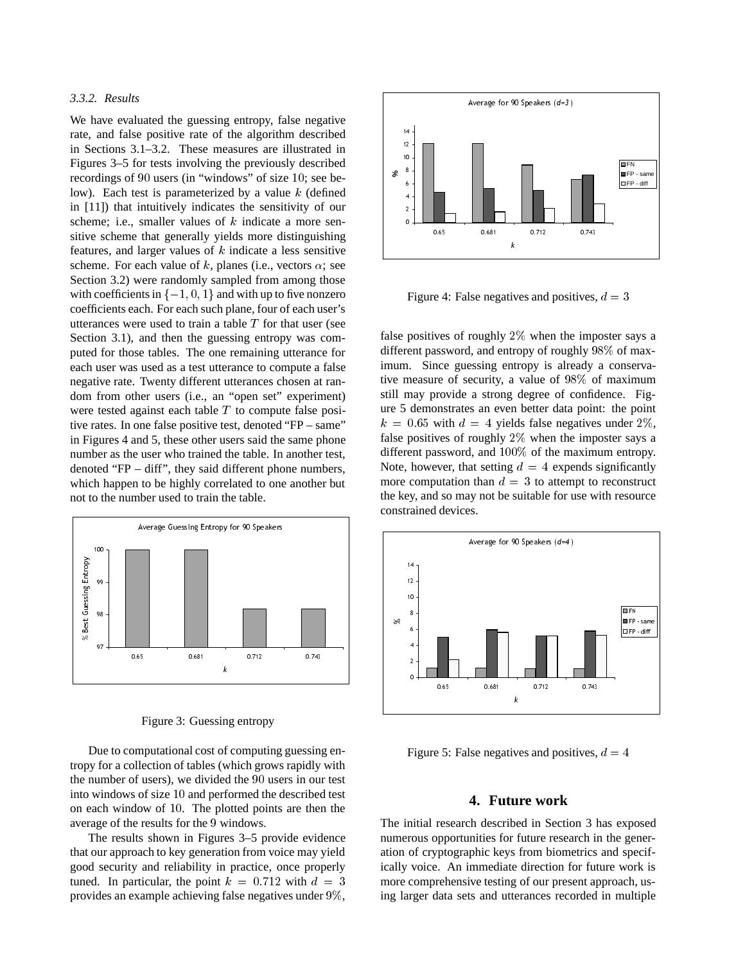# *3.3.2. Results*

We have evaluated the guessing entropy, false negative rate, and false positive rate of the algorithm described in Sections 3.1–3.2. These measures are illustrated in Figures 3–5 for tests involving the previously described recordings of <sup>90</sup> users (in "windows" of size <sup>10</sup>; see below). Each test is parameterized by a value  $k$  (defined in [11]) that intuitively indicates the sensitivity of our scheme; i.e., smaller values of  $k$  indicate a more sensitive scheme that generally yields more distinguishing features, and larger values of  $k$  indicate a less sensitive scheme. For each value of k, planes (i.e., vectors  $\alpha$ ; see Section 3.2) were randomly sampled from among those with coefficients in  $\{-1, 0, 1\}$  and with up to five nonzero coefficients each. For each such plane, four of each user's utterances were used to train a table  $T$  for that user (see Section 3.1), and then the guessing entropy was computed for those tables. The one remaining utterance for each user was used as a test utterance to compute a false negative rate. Twenty different utterances chosen at random from other users (i.e., an "open set" experiment) were tested against each table  $T$  to compute false positive rates. In one false positive test, denoted "FP – same" in Figures 4 and 5, these other users said the same phone number as the user who trained the table. In another test, denoted "FP – diff", they said different phone numbers, which happen to be highly correlated to one another but not to the number used to train the table.



Figure 3: Guessing entropy

Due to computational cost of computing guessing entropy for a collection of tables (which grows rapidly with the number of users), we divided the <sup>90</sup> users in our test into windows of size <sup>10</sup> and performed the described test on each window of <sup>10</sup>. The plotted points are then the average of the results for the <sup>9</sup> windows.

The results shown in Figures 3–5 provide evidence that our approach to key generation from voice may yield good security and reliability in practice, once properly tuned. In particular, the point  $k = 0.712$  with  $d = 3$ provides an example achieving false negatives under 9%,



Figure 4: False negatives and positives,  $d = 3$ 

false positives of roughly  $2\%$  when the imposter says a different password, and entropy of roughly 98% of maximum. Since guessing entropy is already a conservative measure of security, a value of 98% of maximum still may provide a strong degree of confidence. Figure 5 demonstrates an even better data point: the point  $k = 0.65$  with  $d = 4$  yields false negatives under 2%, false positives of roughly 2% when the imposter says a different password, and 100% of the maximum entropy. Note, however, that setting  $d = 4$  expends significantly more computation than  $d = 3$  to attempt to reconstruct the key, and so may not be suitable for use with resource constrained devices.



Figure 5: False negatives and positives,  $d = 4$ 

# **4. Future work**

The initial research described in Section 3 has exposed numerous opportunities for future research in the generation of cryptographic keys from biometrics and specifically voice. An immediate direction for future work is more comprehensive testing of our present approach, using larger data sets and utterances recorded in multiple